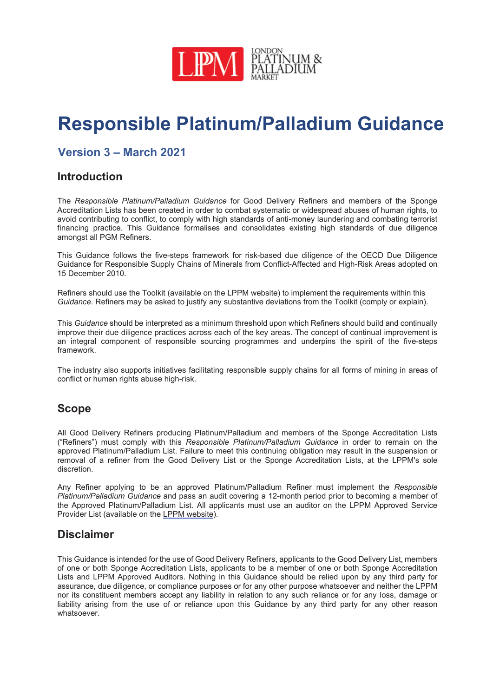

# Responsible Platinum/Palladium Guidance

# Version 3 – March 2021

### Introduction

The *Responsible Platinum/Palladium Guidance* for Good Delivery Refiners and members of the Sponge Accreditation Lists has been created in order to combat systematic or widespread abuses of human rights, to avoid contributing to conflict, to comply with high standards of anti-money laundering and combating terrorist financing practice. This Guidance formalises and consolidates existing high standards of due diligence amongst all PGM Refiners.

This Guidance follows the five-steps framework for risk-based due diligence of the OECD Due Diligence Guidance for Responsible Supply Chains of Minerals from Conflict-Affected and High-Risk Areas adopted on 15 December 2010.

Refiners should use the Toolkit (available on the LPPM website) to implement the requirements within this *Guidance*. Refiners may be asked to justify any substantive deviations from the Toolkit (comply or explain).

This *Guidance* should be interpreted as a minimum threshold upon which Refiners should build and continually improve their due diligence practices across each of the key areas. The concept of continual improvement is an integral component of responsible sourcing programmes and underpins the spirit of the five-steps framework.

The industry also supports initiatives facilitating responsible supply chains for all forms of mining in areas of conflict or human rights abuse high-risk.

### Scope

All Good Delivery Refiners producing Platinum/Palladium and members of the Sponge Accreditation Lists ("Refiners") must comply with this *Responsible Platinum/Palladium Guidance* in order to remain on the approved Platinum/Palladium List. Failure to meet this continuing obligation may result in the suspension or removal of a refiner from the Good Delivery List or the Sponge Accreditation Lists, at the LPPM's sole discretion.

Any Refiner applying to be an approved Platinum/Palladium Refiner must implement the *Responsible Platinum/Palladium Guidance* and pass an audit covering a 12-month period prior to becoming a member of the Approved Platinum/Palladium List. All applicants must use an auditor on the LPPM Approved Service Provider List (available on the LPPM website).

### **Disclaimer**

This Guidance is intended for the use of Good Delivery Refiners, applicants to the Good Delivery List, members of one or both Sponge Accreditation Lists, applicants to be a member of one or both Sponge Accreditation Lists and LPPM Approved Auditors. Nothing in this Guidance should be relied upon by any third party for assurance, due diligence, or compliance purposes or for any other purpose whatsoever and neither the LPPM nor its constituent members accept any liability in relation to any such reliance or for any loss, damage or liability arising from the use of or reliance upon this Guidance by any third party for any other reason whatsoever.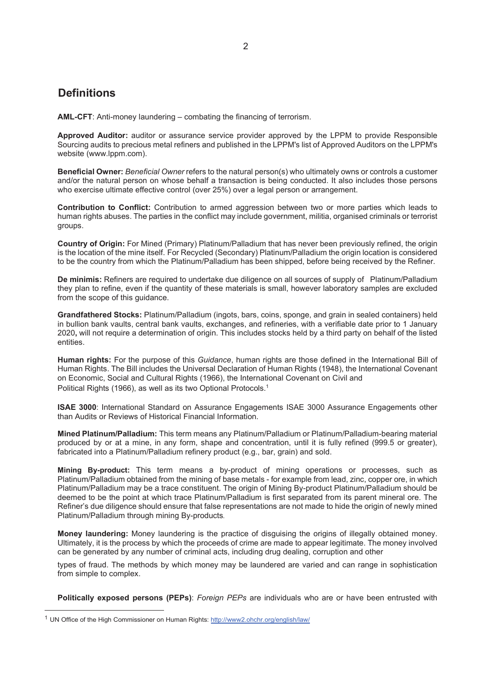### **Definitions**

AML-CFT: Anti-money laundering – combating the financing of terrorism.

Approved Auditor: auditor or assurance service provider approved by the LPPM to provide Responsible Sourcing audits to precious metal refiners and published in the LPPM's list of Approved Auditors on the LPPM's website (www.lppm.com).

Beneficial Owner: *Beneficial Owner* refers to the natural person(s) who ultimately owns or controls a customer and/or the natural person on whose behalf a transaction is being conducted. It also includes those persons who exercise ultimate effective control (over 25%) over a legal person or arrangement.

Contribution to Conflict: Contribution to armed aggression between two or more parties which leads to human rights abuses. The parties in the conflict may include government, militia, organised criminals or terrorist groups.

Country of Origin: For Mined (Primary) Platinum/Palladium that has never been previously refined, the origin is the location of the mine itself. For Recycled (Secondary) Platinum/Palladium the origin location is considered to be the country from which the Platinum/Palladium has been shipped, before being received by the Refiner.

De minimis: Refiners are required to undertake due diligence on all sources of supply of Platinum/Palladium they plan to refine, even if the quantity of these materials is small, however laboratory samples are excluded from the scope of this guidance.

Grandfathered Stocks: Platinum/Palladium (ingots, bars, coins, sponge, and grain in sealed containers) held in bullion bank vaults, central bank vaults, exchanges, and refineries, with a verifiable date prior to 1 January 2020, will not require a determination of origin. This includes stocks held by a third party on behalf of the listed entities.

Human rights: For the purpose of this *Guidance*, human rights are those defined in the International Bill of Human Rights. The Bill includes the Universal Declaration of Human Rights (1948), the International Covenant on Economic, Social and Cultural Rights (1966), the International Covenant on Civil and Political Rights (1966), as well as its two Optional Protocols.<sup>1</sup>

ISAE 3000: International Standard on Assurance Engagements ISAE 3000 Assurance Engagements other than Audits or Reviews of Historical Financial Information.

Mined Platinum/Palladium: This term means any Platinum/Palladium or Platinum/Palladium-bearing material produced by or at a mine, in any form, shape and concentration, until it is fully refined (999.5 or greater), fabricated into a Platinum/Palladium refinery product (e.g., bar, grain) and sold.

Mining By-product: This term means a by-product of mining operations or processes, such as Platinum/Palladium obtained from the mining of base metals - for example from lead, zinc, copper ore, in which Platinum/Palladium may be a trace constituent. The origin of Mining By-product Platinum/Palladium should be deemed to be the point at which trace Platinum/Palladium is first separated from its parent mineral ore. The Refiner's due diligence should ensure that false representations are not made to hide the origin of newly mined Platinum/Palladium through mining By-products*.* 

Money laundering: Money laundering is the practice of disguising the origins of illegally obtained money. Ultimately, it is the process by which the proceeds of crime are made to appear legitimate. The money involved can be generated by any number of criminal acts, including drug dealing, corruption and other

types of fraud. The methods by which money may be laundered are varied and can range in sophistication from simple to complex.

Politically exposed persons (PEPs): *Foreign PEPs* are individuals who are or have been entrusted with

<sup>&</sup>lt;sup>1</sup> UN Office of the High Commissioner on Human Rights: http://www2.ohchr.org/english/law/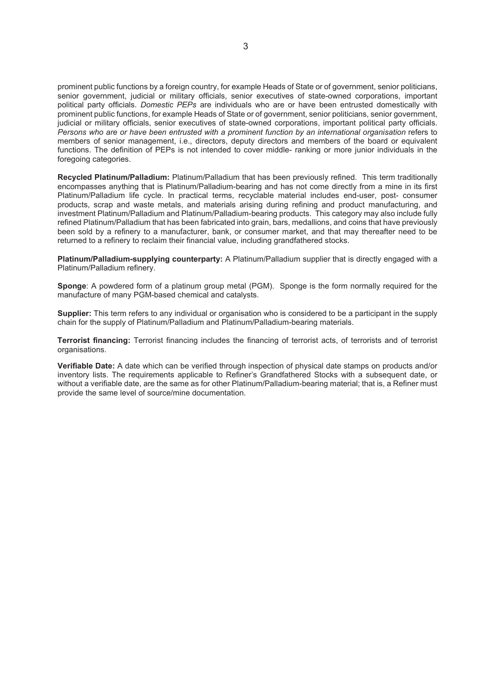prominent public functions by a foreign country, for example Heads of State or of government, senior politicians, senior government, judicial or military officials, senior executives of state-owned corporations, important political party officials. *Domestic PEPs* are individuals who are or have been entrusted domestically with prominent public functions, for example Heads of State or of government, senior politicians, senior government, judicial or military officials, senior executives of state-owned corporations, important political party officials. *Persons who are or have been entrusted with a prominent function by an international organisation* refers to members of senior management, i.e., directors, deputy directors and members of the board or equivalent functions. The definition of PEPs is not intended to cover middle- ranking or more junior individuals in the foregoing categories.

Recycled Platinum/Palladium: Platinum/Palladium that has been previously refined. This term traditionally encompasses anything that is Platinum/Palladium-bearing and has not come directly from a mine in its first Platinum/Palladium life cycle. In practical terms, recyclable material includes end-user, post- consumer products, scrap and waste metals, and materials arising during refining and product manufacturing, and investment Platinum/Palladium and Platinum/Palladium-bearing products. This category may also include fully refined Platinum/Palladium that has been fabricated into grain, bars, medallions, and coins that have previously been sold by a refinery to a manufacturer, bank, or consumer market, and that may thereafter need to be returned to a refinery to reclaim their financial value, including grandfathered stocks.

Platinum/Palladium-supplying counterparty: A Platinum/Palladium supplier that is directly engaged with a Platinum/Palladium refinery.

Sponge: A powdered form of a platinum group metal (PGM). Sponge is the form normally required for the manufacture of many PGM-based chemical and catalysts.

Supplier: This term refers to any individual or organisation who is considered to be a participant in the supply chain for the supply of Platinum/Palladium and Platinum/Palladium-bearing materials.

Terrorist financing: Terrorist financing includes the financing of terrorist acts, of terrorists and of terrorist organisations.

Verifiable Date: A date which can be verified through inspection of physical date stamps on products and/or inventory lists. The requirements applicable to Refiner's Grandfathered Stocks with a subsequent date, or without a verifiable date, are the same as for other Platinum/Palladium-bearing material; that is, a Refiner must provide the same level of source/mine documentation.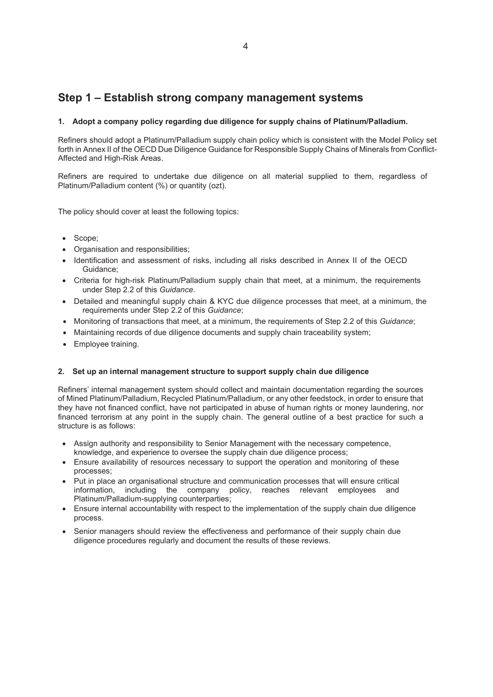# Step 1 – Establish strong company management systems

#### 1. Adopt a company policy regarding due diligence for supply chains of Platinum/Palladium.

Refiners should adopt a Platinum/Palladium supply chain policy which is consistent with the Model Policy set forth in Annex II of the OECD Due Diligence Guidance for Responsible Supply Chains of Minerals from Conflict-Affected and High-Risk Areas.

Refiners are required to undertake due diligence on all material supplied to them, regardless of Platinum/Palladium content (%) or quantity (ozt).

The policy should cover at least the following topics:

- Scope:
- x Organisation and responsibilities;
- Identification and assessment of risks, including all risks described in Annex II of the OECD Guidance;
- Criteria for high-risk Platinum/Palladium supply chain that meet, at a minimum, the requirements under Step 2.2 of this *Guidance*.
- Detailed and meaningful supply chain & KYC due diligence processes that meet, at a minimum, the requirements under Step 2.2 of this *Guidance*;
- x Monitoring of transactions that meet, at a minimum, the requirements of Step 2.2 of this *Guidance*;
- Maintaining records of due diligence documents and supply chain traceability system;
- Employee training.

#### 2. Set up an internal management structure to support supply chain due diligence

Refiners' internal management system should collect and maintain documentation regarding the sources of Mined Platinum/Palladium, Recycled Platinum/Palladium, or any other feedstock, in order to ensure that they have not financed conflict, have not participated in abuse of human rights or money laundering, nor financed terrorism at any point in the supply chain. The general outline of a best practice for such a structure is as follows:

- Assign authority and responsibility to Senior Management with the necessary competence, knowledge, and experience to oversee the supply chain due diligence process;
- Ensure availability of resources necessary to support the operation and monitoring of these processes;
- Put in place an organisational structure and communication processes that will ensure critical information, including the company policy, reaches relevant employees and Platinum/Palladium-supplying counterparties;
- Ensure internal accountability with respect to the implementation of the supply chain due diligence process.
- Senior managers should review the effectiveness and performance of their supply chain due diligence procedures regularly and document the results of these reviews.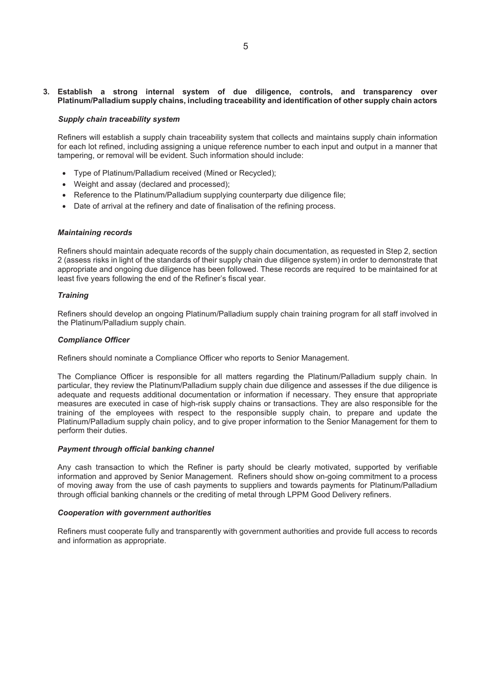#### 3. Establish a strong internal system of due diligence, controls, and transparency over Platinum/Palladium supply chains, including traceability and identification of other supply chain actors

#### *Supply chain traceability system*

Refiners will establish a supply chain traceability system that collects and maintains supply chain information for each lot refined, including assigning a unique reference number to each input and output in a manner that tampering, or removal will be evident. Such information should include:

- Type of Platinum/Palladium received (Mined or Recycled);
- Weight and assay (declared and processed);
- Reference to the Platinum/Palladium supplying counterparty due diligence file;
- Date of arrival at the refinery and date of finalisation of the refining process.

#### *Maintaining records*

Refiners should maintain adequate records of the supply chain documentation, as requested in Step 2, section 2 (assess risks in light of the standards of their supply chain due diligence system) in order to demonstrate that appropriate and ongoing due diligence has been followed. These records are required to be maintained for at least five years following the end of the Refiner's fiscal year.

#### *Training*

Refiners should develop an ongoing Platinum/Palladium supply chain training program for all staff involved in the Platinum/Palladium supply chain.

#### *Compliance Officer*

Refiners should nominate a Compliance Officer who reports to Senior Management.

The Compliance Officer is responsible for all matters regarding the Platinum/Palladium supply chain. In particular, they review the Platinum/Palladium supply chain due diligence and assesses if the due diligence is adequate and requests additional documentation or information if necessary. They ensure that appropriate measures are executed in case of high-risk supply chains or transactions. They are also responsible for the training of the employees with respect to the responsible supply chain, to prepare and update the Platinum/Palladium supply chain policy, and to give proper information to the Senior Management for them to perform their duties.

#### *Payment through official banking channel*

Any cash transaction to which the Refiner is party should be clearly motivated, supported by verifiable information and approved by Senior Management. Refiners should show on-going commitment to a process of moving away from the use of cash payments to suppliers and towards payments for Platinum/Palladium through official banking channels or the crediting of metal through LPPM Good Delivery refiners.

#### *Cooperation with government authorities*

Refiners must cooperate fully and transparently with government authorities and provide full access to records and information as appropriate.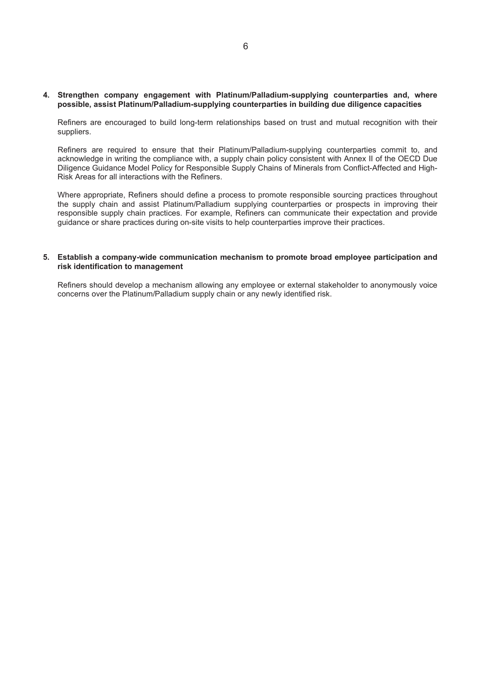#### 4. Strengthen company engagement with Platinum/Palladium-supplying counterparties and, where possible, assist Platinum/Palladium-supplying counterparties in building due diligence capacities

Refiners are encouraged to build long-term relationships based on trust and mutual recognition with their suppliers.

Refiners are required to ensure that their Platinum/Palladium-supplying counterparties commit to, and acknowledge in writing the compliance with, a supply chain policy consistent with Annex II of the OECD Due Diligence Guidance Model Policy for Responsible Supply Chains of Minerals from Conflict-Affected and High-Risk Areas for all interactions with the Refiners.

Where appropriate, Refiners should define a process to promote responsible sourcing practices throughout the supply chain and assist Platinum/Palladium supplying counterparties or prospects in improving their responsible supply chain practices. For example, Refiners can communicate their expectation and provide guidance or share practices during on-site visits to help counterparties improve their practices.

#### 5. Establish a company-wide communication mechanism to promote broad employee participation and risk identification to management

Refiners should develop a mechanism allowing any employee or external stakeholder to anonymously voice concerns over the Platinum/Palladium supply chain or any newly identified risk.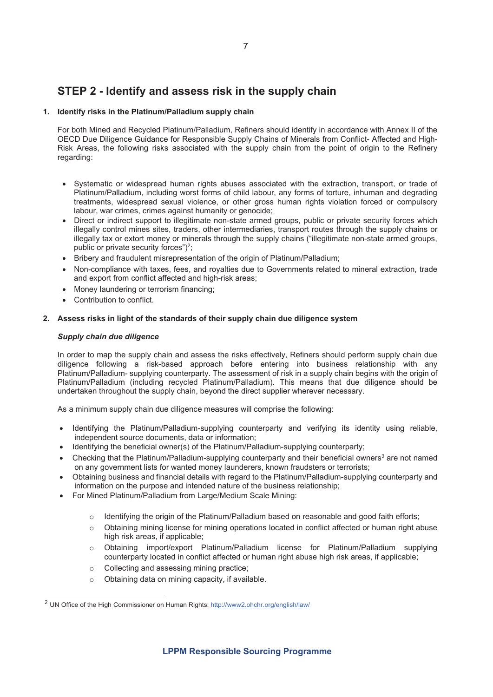# STEP 2 - Identify and assess risk in the supply chain

#### 1. Identify risks in the Platinum/Palladium supply chain

For both Mined and Recycled Platinum/Palladium, Refiners should identify in accordance with Annex II of the OECD Due Diligence Guidance for Responsible Supply Chains of Minerals from Conflict- Affected and High-Risk Areas, the following risks associated with the supply chain from the point of origin to the Refinery regarding:

- Systematic or widespread human rights abuses associated with the extraction, transport, or trade of Platinum/Palladium, including worst forms of child labour, any forms of torture, inhuman and degrading treatments, widespread sexual violence, or other gross human rights violation forced or compulsory labour, war crimes, crimes against humanity or genocide;
- Direct or indirect support to illegitimate non-state armed groups, public or private security forces which illegally control mines sites, traders, other intermediaries, transport routes through the supply chains or illegally tax or extort money or minerals through the supply chains ("illegitimate non-state armed groups, public or private security forces")<sup>2</sup>;
- Bribery and fraudulent misrepresentation of the origin of Platinum/Palladium;
- Non-compliance with taxes, fees, and royalties due to Governments related to mineral extraction, trade and export from conflict affected and high-risk areas;
- Money laundering or terrorism financing;
- Contribution to conflict.

#### 2. Assess risks in light of the standards of their supply chain due diligence system

#### *Supply chain due diligence*

In order to map the supply chain and assess the risks effectively, Refiners should perform supply chain due diligence following a risk-based approach before entering into business relationship with any Platinum/Palladium- supplying counterparty. The assessment of risk in a supply chain begins with the origin of Platinum/Palladium (including recycled Platinum/Palladium). This means that due diligence should be undertaken throughout the supply chain, beyond the direct supplier wherever necessary.

As a minimum supply chain due diligence measures will comprise the following:

- Identifying the Platinum/Palladium-supplying counterparty and verifying its identity using reliable, independent source documents, data or information;
- Identifying the beneficial owner(s) of the Platinum/Palladium-supplying counterparty;
- Checking that the Platinum/Palladium-supplying counterparty and their beneficial owners<sup>3</sup> are not named on any government lists for wanted money launderers, known fraudsters or terrorists;
- Obtaining business and financial details with regard to the Platinum/Palladium-supplying counterparty and information on the purpose and intended nature of the business relationship;
- For Mined Platinum/Palladium from Large/Medium Scale Mining:
	- $\circ$  Identifying the origin of the Platinum/Palladium based on reasonable and good faith efforts;
	- o Obtaining mining license for mining operations located in conflict affected or human right abuse high risk areas, if applicable;
	- o Obtaining import/export Platinum/Palladium license for Platinum/Palladium supplying counterparty located in conflict affected or human right abuse high risk areas, if applicable;
	- o Collecting and assessing mining practice;
	- o Obtaining data on mining capacity, if available.

<sup>2</sup> UN Office of the High Commissioner on Human Rights: http://www2.ohchr.org/english/law/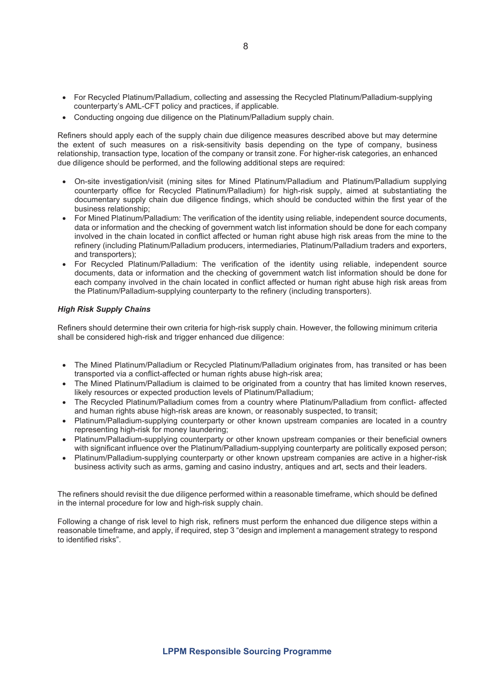- For Recycled Platinum/Palladium, collecting and assessing the Recycled Platinum/Palladium-supplying counterparty's AML-CFT policy and practices, if applicable.
- Conducting ongoing due diligence on the Platinum/Palladium supply chain.

Refiners should apply each of the supply chain due diligence measures described above but may determine the extent of such measures on a risk-sensitivity basis depending on the type of company, business relationship, transaction type, location of the company or transit zone. For higher-risk categories, an enhanced due diligence should be performed, and the following additional steps are required:

- On-site investigation/visit (mining sites for Mined Platinum/Palladium and Platinum/Palladium supplying counterparty office for Recycled Platinum/Palladium) for high-risk supply, aimed at substantiating the documentary supply chain due diligence findings, which should be conducted within the first year of the business relationship;
- For Mined Platinum/Palladium: The verification of the identity using reliable, independent source documents, data or information and the checking of government watch list information should be done for each company involved in the chain located in conflict affected or human right abuse high risk areas from the mine to the refinery (including Platinum/Palladium producers, intermediaries, Platinum/Palladium traders and exporters, and transporters);
- For Recycled Platinum/Palladium: The verification of the identity using reliable, independent source documents, data or information and the checking of government watch list information should be done for each company involved in the chain located in conflict affected or human right abuse high risk areas from the Platinum/Palladium-supplying counterparty to the refinery (including transporters).

#### *High Risk Supply Chains*

Refiners should determine their own criteria for high-risk supply chain. However, the following minimum criteria shall be considered high-risk and trigger enhanced due diligence:

- The Mined Platinum/Palladium or Recycled Platinum/Palladium originates from, has transited or has been transported via a conflict-affected or human rights abuse high-risk area;
- The Mined Platinum/Palladium is claimed to be originated from a country that has limited known reserves, likely resources or expected production levels of Platinum/Palladium;
- x The Recycled Platinum/Palladium comes from a country where Platinum/Palladium from conflict- affected and human rights abuse high-risk areas are known, or reasonably suspected, to transit;
- Platinum/Palladium-supplying counterparty or other known upstream companies are located in a country representing high-risk for money laundering;
- Platinum/Palladium-supplying counterparty or other known upstream companies or their beneficial owners with significant influence over the Platinum/Palladium-supplying counterparty are politically exposed person;
- Platinum/Palladium-supplying counterparty or other known upstream companies are active in a higher-risk business activity such as arms, gaming and casino industry, antiques and art, sects and their leaders.

The refiners should revisit the due diligence performed within a reasonable timeframe, which should be defined in the internal procedure for low and high-risk supply chain.

Following a change of risk level to high risk, refiners must perform the enhanced due diligence steps within a reasonable timeframe, and apply, if required, step 3 "design and implement a management strategy to respond to identified risks".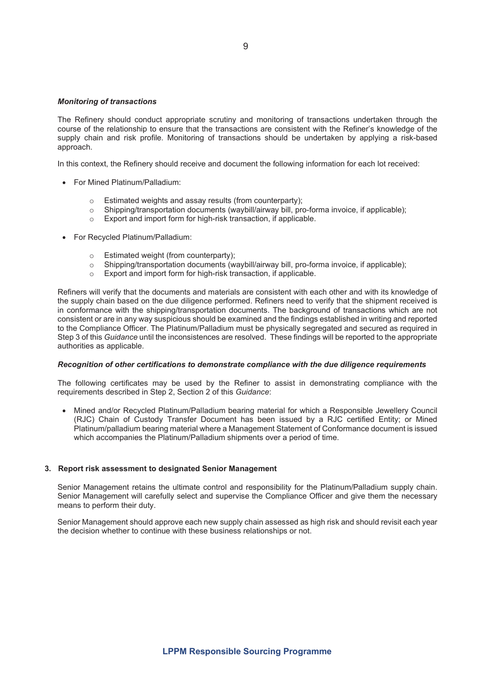#### *Monitoring of transactions*

The Refinery should conduct appropriate scrutiny and monitoring of transactions undertaken through the course of the relationship to ensure that the transactions are consistent with the Refiner's knowledge of the supply chain and risk profile. Monitoring of transactions should be undertaken by applying a risk-based approach.

In this context, the Refinery should receive and document the following information for each lot received:

- For Mined Platinum/Palladium:
	-
	- o Estimated weights and assay results (from counterparty);<br>
	o Shipping/transportation documents (waybill/airway bill, pro Shipping/transportation documents (waybill/airway bill, pro-forma invoice, if applicable);
	- o Export and import form for high-risk transaction, if applicable.
- For Recycled Platinum/Palladium:
	-
	- Estimated weight (from counterparty);<br>○ Shipping/transportation documents (w<br>○ Export and import form for high-risk tra Shipping/transportation documents (waybill/airway bill, pro-forma invoice, if applicable);
	- Export and import form for high-risk transaction, if applicable.

Refiners will verify that the documents and materials are consistent with each other and with its knowledge of the supply chain based on the due diligence performed. Refiners need to verify that the shipment received is in conformance with the shipping/transportation documents. The background of transactions which are not consistent or are in any way suspicious should be examined and the findings established in writing and reported to the Compliance Officer. The Platinum/Palladium must be physically segregated and secured as required in Step 3 of this *Guidance* until the inconsistences are resolved. These findings will be reported to the appropriate authorities as applicable.

#### *Recognition of other certifications to demonstrate compliance with the due diligence requirements*

The following certificates may be used by the Refiner to assist in demonstrating compliance with the requirements described in Step 2, Section 2 of this *Guidance*:

• Mined and/or Recycled Platinum/Palladium bearing material for which a Responsible Jewellery Council (RJC) Chain of Custody Transfer Document has been issued by a RJC certified Entity; or Mined Platinum/palladium bearing material where a Management Statement of Conformance document is issued which accompanies the Platinum/Palladium shipments over a period of time.

#### 3. Report risk assessment to designated Senior Management

Senior Management retains the ultimate control and responsibility for the Platinum/Palladium supply chain. Senior Management will carefully select and supervise the Compliance Officer and give them the necessary means to perform their duty.

Senior Management should approve each new supply chain assessed as high risk and should revisit each year the decision whether to continue with these business relationships or not.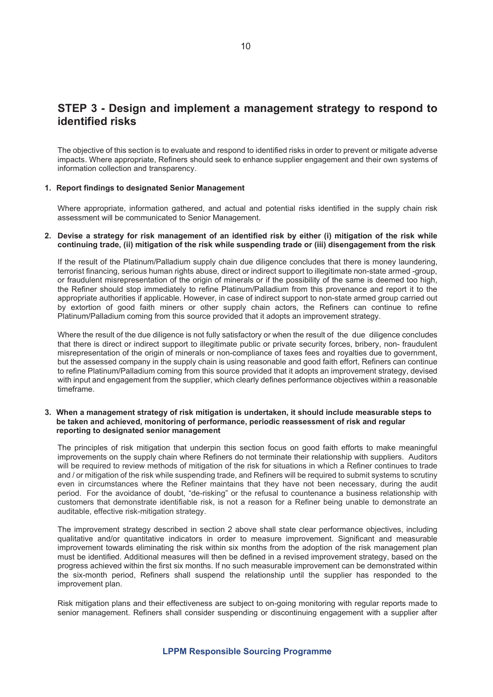## STEP 3 - Design and implement a management strategy to respond to identified risks

The objective of this section is to evaluate and respond to identified risks in order to prevent or mitigate adverse impacts. Where appropriate, Refiners should seek to enhance supplier engagement and their own systems of information collection and transparency.

#### 1. Report findings to designated Senior Management

Where appropriate, information gathered, and actual and potential risks identified in the supply chain risk assessment will be communicated to Senior Management.

#### 2. Devise a strategy for risk management of an identified risk by either (i) mitigation of the risk while continuing trade, (ii) mitigation of the risk while suspending trade or (iii) disengagement from the risk

If the result of the Platinum/Palladium supply chain due diligence concludes that there is money laundering, terrorist financing, serious human rights abuse, direct or indirect support to illegitimate non-state armed -group, or fraudulent misrepresentation of the origin of minerals or if the possibility of the same is deemed too high, the Refiner should stop immediately to refine Platinum/Palladium from this provenance and report it to the appropriate authorities if applicable. However, in case of indirect support to non-state armed group carried out by extortion of good faith miners or other supply chain actors, the Refiners can continue to refine Platinum/Palladium coming from this source provided that it adopts an improvement strategy.

Where the result of the due diligence is not fully satisfactory or when the result of the due diligence concludes that there is direct or indirect support to illegitimate public or private security forces, bribery, non- fraudulent misrepresentation of the origin of minerals or non-compliance of taxes fees and royalties due to government, but the assessed company in the supply chain is using reasonable and good faith effort, Refiners can continue to refine Platinum/Palladium coming from this source provided that it adopts an improvement strategy, devised with input and engagement from the supplier, which clearly defines performance objectives within a reasonable timeframe.

#### 3. When a management strategy of risk mitigation is undertaken, it should include measurable steps to be taken and achieved, monitoring of performance, periodic reassessment of risk and regular reporting to designated senior management

The principles of risk mitigation that underpin this section focus on good faith efforts to make meaningful improvements on the supply chain where Refiners do not terminate their relationship with suppliers. Auditors will be required to review methods of mitigation of the risk for situations in which a Refiner continues to trade and / or mitigation of the risk while suspending trade, and Refiners will be required to submit systems to scrutiny even in circumstances where the Refiner maintains that they have not been necessary, during the audit period. For the avoidance of doubt, "de-risking" or the refusal to countenance a business relationship with customers that demonstrate identifiable risk, is not a reason for a Refiner being unable to demonstrate an auditable, effective risk-mitigation strategy.

The improvement strategy described in section 2 above shall state clear performance objectives, including qualitative and/or quantitative indicators in order to measure improvement. Significant and measurable improvement towards eliminating the risk within six months from the adoption of the risk management plan must be identified. Additional measures will then be defined in a revised improvement strategy, based on the progress achieved within the first six months. If no such measurable improvement can be demonstrated within the six-month period, Refiners shall suspend the relationship until the supplier has responded to the improvement plan.

Risk mitigation plans and their effectiveness are subject to on-going monitoring with regular reports made to senior management. Refiners shall consider suspending or discontinuing engagement with a supplier after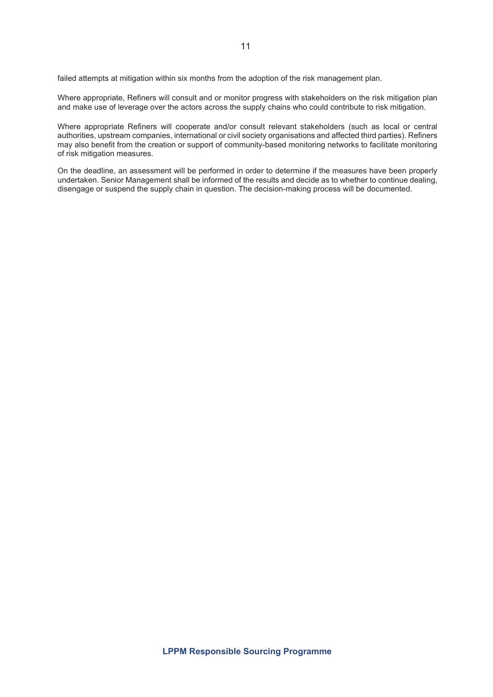failed attempts at mitigation within six months from the adoption of the risk management plan.

Where appropriate, Refiners will consult and or monitor progress with stakeholders on the risk mitigation plan and make use of leverage over the actors across the supply chains who could contribute to risk mitigation.

Where appropriate Refiners will cooperate and/or consult relevant stakeholders (such as local or central authorities, upstream companies, international or civil society organisations and affected third parties). Refiners may also benefit from the creation or support of community-based monitoring networks to facilitate monitoring of risk mitigation measures.

On the deadline, an assessment will be performed in order to determine if the measures have been properly undertaken. Senior Management shall be informed of the results and decide as to whether to continue dealing, disengage or suspend the supply chain in question. The decision-making process will be documented.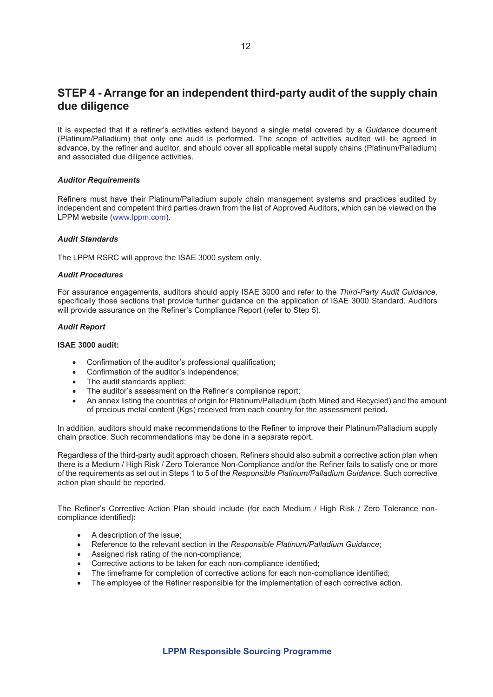# STEP 4 - Arrange for an independent third-party audit of the supply chain due diligence

It is expected that if a refiner's activities extend beyond a single metal covered by a *Guidance* document (Platinum/Palladium) that only one audit is performed. The scope of activities audited will be agreed in advance, by the refiner and auditor, and should cover all applicable metal supply chains (Platinum/Palladium) and associated due diligence activities.

#### *Auditor Requirements*

Refiners must have their Platinum/Palladium supply chain management systems and practices audited by independent and competent third parties drawn from the list of Approved Auditors, which can be viewed on the LPPM website (www.lppm.com).

#### *Audit Standards*

The LPPM RSRC will approve the ISAE 3000 system only.

#### *Audit Procedures*

For assurance engagements, auditors should apply ISAE 3000 and refer to the *Third-Party Audit Guidance*, specifically those sections that provide further guidance on the application of ISAE 3000 Standard. Auditors will provide assurance on the Refiner's Compliance Report (refer to Step 5).

#### *Audit Report*

#### ISAE 3000 audit:

- Confirmation of the auditor's professional qualification:
- Confirmation of the auditor's independence;
- The audit standards applied;
- The auditor's assessment on the Refiner's compliance report;
- An annex listing the countries of origin for Platinum/Palladium (both Mined and Recycled) and the amount of precious metal content (Kgs) received from each country for the assessment period.

In addition, auditors should make recommendations to the Refiner to improve their Platinum/Palladium supply chain practice. Such recommendations may be done in a separate report.

Regardless of the third-party audit approach chosen, Refiners should also submit a corrective action plan when there is a Medium / High Risk / Zero Tolerance Non-Compliance and/or the Refiner fails to satisfy one or more of the requirements as set out in Steps 1 to 5 of the *Responsible Platinum/Palladium Guidance*. Such corrective action plan should be reported.

The Refiner's Corrective Action Plan should include (for each Medium / High Risk / Zero Tolerance noncompliance identified):

- $\bullet$  A description of the issue:
- x Reference to the relevant section in the *Responsible Platinum/Palladium Guidance*;
- Assigned risk rating of the non-compliance;
- Corrective actions to be taken for each non-compliance identified;
- The timeframe for completion of corrective actions for each non-compliance identified;
- The employee of the Refiner responsible for the implementation of each corrective action.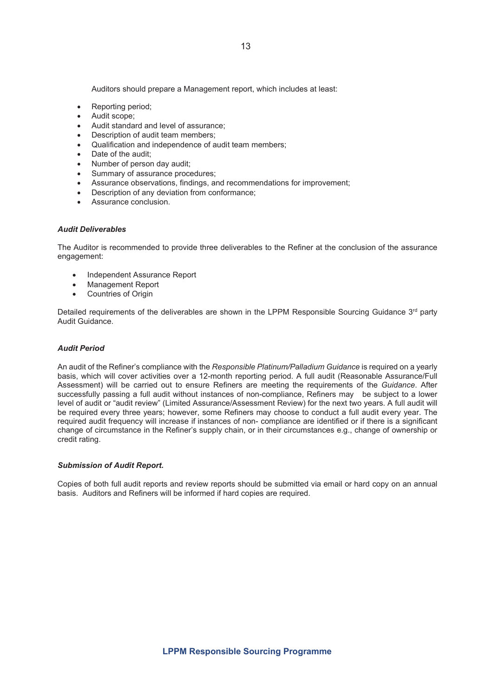Auditors should prepare a Management report, which includes at least:

- Reporting period;
- Audit scope:
- Audit standard and level of assurance:
- Description of audit team members:
- Qualification and independence of audit team members;
- Date of the audit:
- Number of person day audit;
- Summary of assurance procedures;
- Assurance observations, findings, and recommendations for improvement;
- Description of any deviation from conformance;
- Assurance conclusion.

#### *Audit Deliverables*

The Auditor is recommended to provide three deliverables to the Refiner at the conclusion of the assurance engagement:

- Independent Assurance Report
- Management Report
- Countries of Origin

Detailed requirements of the deliverables are shown in the LPPM Responsible Sourcing Guidance 3<sup>rd</sup> party Audit Guidance.

#### *Audit Period*

An audit of the Refiner's compliance with the *Responsible Platinum/Palladium Guidance* is required on a yearly basis, which will cover activities over a 12-month reporting period. A full audit (Reasonable Assurance/Full Assessment) will be carried out to ensure Refiners are meeting the requirements of the *Guidance*. After successfully passing a full audit without instances of non-compliance, Refiners may be subject to a lower level of audit or "audit review" (Limited Assurance/Assessment Review) for the next two years. A full audit will be required every three years; however, some Refiners may choose to conduct a full audit every year. The required audit frequency will increase if instances of non- compliance are identified or if there is a significant change of circumstance in the Refiner's supply chain, or in their circumstances e.g., change of ownership or credit rating.

#### *Submission of Audit Report.*

Copies of both full audit reports and review reports should be submitted via email or hard copy on an annual basis. Auditors and Refiners will be informed if hard copies are required.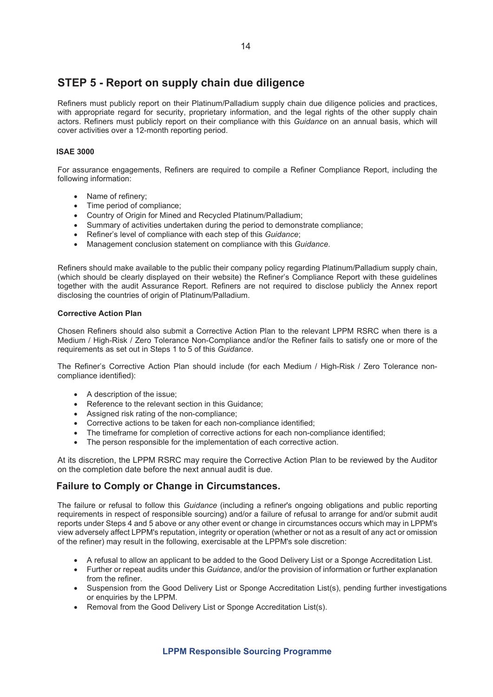# STEP 5 - Report on supply chain due diligence

Refiners must publicly report on their Platinum/Palladium supply chain due diligence policies and practices, with appropriate regard for security, proprietary information, and the legal rights of the other supply chain actors. Refiners must publicly report on their compliance with this *Guidance* on an annual basis, which will cover activities over a 12-month reporting period.

#### ISAE 3000

For assurance engagements, Refiners are required to compile a Refiner Compliance Report, including the following information:

- Name of refinery;
- Time period of compliance;
- Country of Origin for Mined and Recycled Platinum/Palladium;
- Summary of activities undertaken during the period to demonstrate compliance;
- **•** Refiner's level of compliance with each step of this *Guidance*;
- x Management conclusion statement on compliance with this *Guidance*.

Refiners should make available to the public their company policy regarding Platinum/Palladium supply chain, (which should be clearly displayed on their website) the Refiner's Compliance Report with these guidelines together with the audit Assurance Report. Refiners are not required to disclose publicly the Annex report disclosing the countries of origin of Platinum/Palladium.

#### Corrective Action Plan

Chosen Refiners should also submit a Corrective Action Plan to the relevant LPPM RSRC when there is a Medium / High-Risk / Zero Tolerance Non-Compliance and/or the Refiner fails to satisfy one or more of the requirements as set out in Steps 1 to 5 of this *Guidance*.

The Refiner's Corrective Action Plan should include (for each Medium / High-Risk / Zero Tolerance noncompliance identified):

- A description of the issue;
- Reference to the relevant section in this Guidance;
- Assigned risk rating of the non-compliance;
- Corrective actions to be taken for each non-compliance identified;
- The timeframe for completion of corrective actions for each non-compliance identified:
- The person responsible for the implementation of each corrective action.

At its discretion, the LPPM RSRC may require the Corrective Action Plan to be reviewed by the Auditor on the completion date before the next annual audit is due.

### Failure to Comply or Change in Circumstances.

The failure or refusal to follow this *Guidance* (including a refiner's ongoing obligations and public reporting requirements in respect of responsible sourcing) and/or a failure of refusal to arrange for and/or submit audit reports under Steps 4 and 5 above or any other event or change in circumstances occurs which may in LPPM's view adversely affect LPPM's reputation, integrity or operation (whether or not as a result of any act or omission of the refiner) may result in the following, exercisable at the LPPM's sole discretion:

- A refusal to allow an applicant to be added to the Good Delivery List or a Sponge Accreditation List.
- x Further or repeat audits under this *Guidance*, and/or the provision of information or further explanation from the refiner.
- Suspension from the Good Delivery List or Sponge Accreditation List(s), pending further investigations or enquiries by the LPPM.
- Removal from the Good Delivery List or Sponge Accreditation List(s).